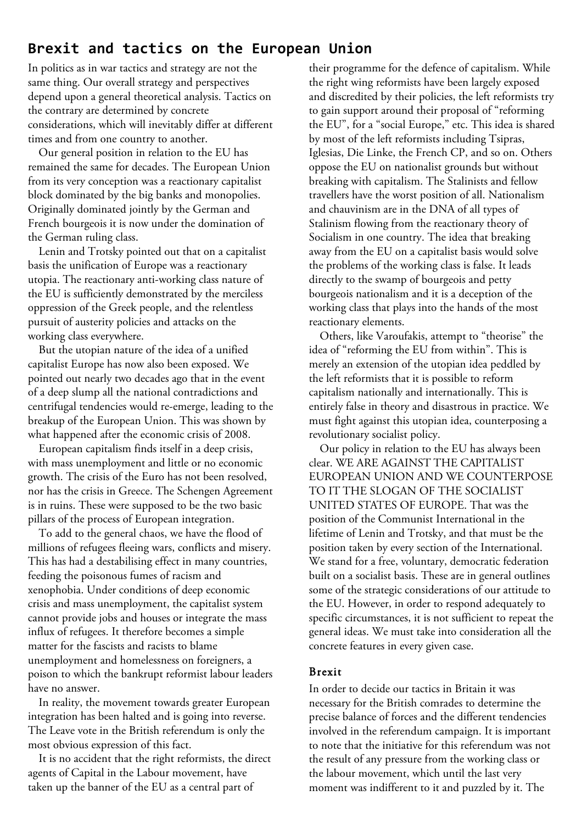## **Brexit and tactics on the European Union**

In politics as in war tactics and strategy are not the same thing. Our overall strategy and perspectives depend upon a general theoretical analysis. Tactics on the contrary are determined by concrete considerations, which will inevitably differ at different times and from one country to another.

Our general position in relation to the EU has remained the same for decades. The European Union from its very conception was a reactionary capitalist block dominated by the big banks and monopolies. Originally dominated jointly by the German and French bourgeois it is now under the domination of the German ruling class.

Lenin and Trotsky pointed out that on a capitalist basis the unification of Europe was a reactionary utopia. The reactionary anti-working class nature of the EU is sufficiently demonstrated by the merciless oppression of the Greek people, and the relentless pursuit of austerity policies and attacks on the working class everywhere.

But the utopian nature of the idea of a unified capitalist Europe has now also been exposed. We pointed out nearly two decades ago that in the event of a deep slump all the national contradictions and centrifugal tendencies would re-emerge, leading to the breakup of the European Union. This was shown by what happened after the economic crisis of 2008.

European capitalism finds itself in a deep crisis, with mass unemployment and little or no economic growth. The crisis of the Euro has not been resolved, nor has the crisis in Greece. The Schengen Agreement is in ruins. These were supposed to be the two basic pillars of the process of European integration.

To add to the general chaos, we have the flood of millions of refugees fleeing wars, conflicts and misery. This has had a destabilising effect in many countries, feeding the poisonous fumes of racism and xenophobia. Under conditions of deep economic crisis and mass unemployment, the capitalist system cannot provide jobs and houses or integrate the mass influx of refugees. It therefore becomes a simple matter for the fascists and racists to blame unemployment and homelessness on foreigners, a poison to which the bankrupt reformist labour leaders have no answer.

In reality, the movement towards greater European integration has been halted and is going into reverse. The Leave vote in the British referendum is only the most obvious expression of this fact.

It is no accident that the right reformists, the direct agents of Capital in the Labour movement, have taken up the banner of the EU as a central part of

their programme for the defence of capitalism. While the right wing reformists have been largely exposed and discredited by their policies, the left reformists try to gain support around their proposal of "reforming the EU", for a "social Europe," etc. This idea is shared by most of the left reformists including Tsipras, Iglesias, Die Linke, the French CP, and so on. Others oppose the EU on nationalist grounds but without breaking with capitalism. The Stalinists and fellow travellers have the worst position of all. Nationalism and chauvinism are in the DNA of all types of Stalinism flowing from the reactionary theory of Socialism in one country. The idea that breaking away from the EU on a capitalist basis would solve the problems of the working class is false. It leads directly to the swamp of bourgeois and petty bourgeois nationalism and it is a deception of the working class that plays into the hands of the most reactionary elements.

Others, like Varoufakis, attempt to "theorise" the idea of "reforming the EU from within". This is merely an extension of the utopian idea peddled by the left reformists that it is possible to reform capitalism nationally and internationally. This is entirely false in theory and disastrous in practice. We must fight against this utopian idea, counterposing a revolutionary socialist policy.

Our policy in relation to the EU has always been clear. WE ARE AGAINST THE CAPITALIST EUROPEAN UNION AND WE COUNTERPOSE TO IT THE SLOGAN OF THE SOCIALIST UNITED STATES OF EUROPE. That was the position of the Communist International in the lifetime of Lenin and Trotsky, and that must be the position taken by every section of the International. We stand for a free, voluntary, democratic federation built on a socialist basis. These are in general outlines some of the strategic considerations of our attitude to the EU. However, in order to respond adequately to specific circumstances, it is not sufficient to repeat the general ideas. We must take into consideration all the concrete features in every given case.

## Brexit

In order to decide our tactics in Britain it was necessary for the British comrades to determine the precise balance of forces and the different tendencies involved in the referendum campaign. It is important to note that the initiative for this referendum was not the result of any pressure from the working class or the labour movement, which until the last very moment was indifferent to it and puzzled by it. The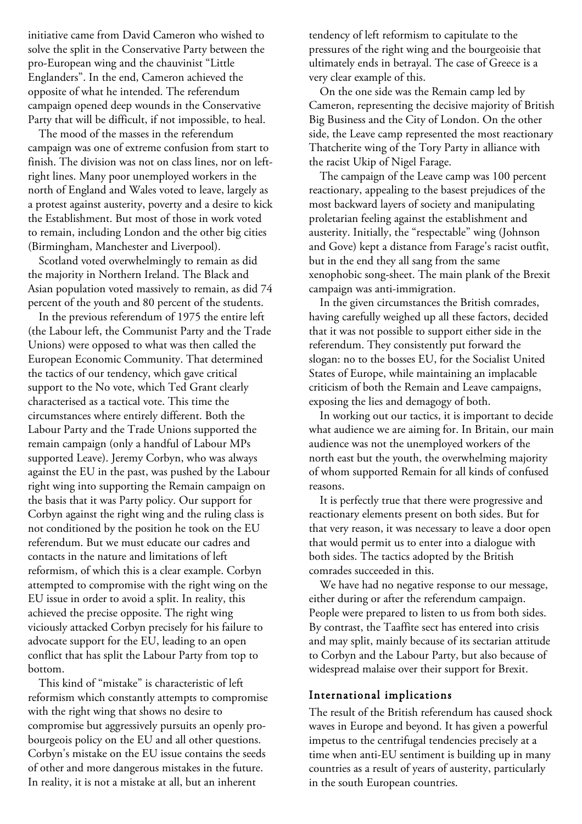initiative came from David Cameron who wished to solve the split in the Conservative Party between the pro-European wing and the chauvinist "Little Englanders". In the end, Cameron achieved the opposite of what he intended. The referendum campaign opened deep wounds in the Conservative Party that will be difficult, if not impossible, to heal.

The mood of the masses in the referendum campaign was one of extreme confusion from start to finish. The division was not on class lines, nor on leftright lines. Many poor unemployed workers in the north of England and Wales voted to leave, largely as a protest against austerity, poverty and a desire to kick the Establishment. But most of those in work voted to remain, including London and the other big cities (Birmingham, Manchester and Liverpool).

Scotland voted overwhelmingly to remain as did the majority in Northern Ireland. The Black and Asian population voted massively to remain, as did 74 percent of the youth and 80 percent of the students.

In the previous referendum of 1975 the entire left (the Labour left, the Communist Party and the Trade Unions) were opposed to what was then called the European Economic Community. That determined the tactics of our tendency, which gave critical support to the No vote, which Ted Grant clearly characterised as a tactical vote. This time the circumstances where entirely different. Both the Labour Party and the Trade Unions supported the remain campaign (only a handful of Labour MPs supported Leave). Jeremy Corbyn, who was always against the EU in the past, was pushed by the Labour right wing into supporting the Remain campaign on the basis that it was Party policy. Our support for Corbyn against the right wing and the ruling class is not conditioned by the position he took on the EU referendum. But we must educate our cadres and contacts in the nature and limitations of left reformism, of which this is a clear example. Corbyn attempted to compromise with the right wing on the EU issue in order to avoid a split. In reality, this achieved the precise opposite. The right wing viciously attacked Corbyn precisely for his failure to advocate support for the EU, leading to an open conflict that has split the Labour Party from top to bottom.

This kind of "mistake" is characteristic of left reformism which constantly attempts to compromise with the right wing that shows no desire to compromise but aggressively pursuits an openly probourgeois policy on the EU and all other questions. Corbyn's mistake on the EU issue contains the seeds of other and more dangerous mistakes in the future. In reality, it is not a mistake at all, but an inherent

tendency of left reformism to capitulate to the pressures of the right wing and the bourgeoisie that ultimately ends in betrayal. The case of Greece is a very clear example of this.

On the one side was the Remain camp led by Cameron, representing the decisive majority of British Big Business and the City of London. On the other side, the Leave camp represented the most reactionary Thatcherite wing of the Tory Party in alliance with the racist Ukip of Nigel Farage.

The campaign of the Leave camp was 100 percent reactionary, appealing to the basest prejudices of the most backward layers of society and manipulating proletarian feeling against the establishment and austerity. Initially, the "respectable" wing (Johnson and Gove) kept a distance from Farage's racist outfit, but in the end they all sang from the same xenophobic song-sheet. The main plank of the Brexit campaign was anti-immigration.

In the given circumstances the British comrades, having carefully weighed up all these factors, decided that it was not possible to support either side in the referendum. They consistently put forward the slogan: no to the bosses EU, for the Socialist United States of Europe, while maintaining an implacable criticism of both the Remain and Leave campaigns, exposing the lies and demagogy of both.

In working out our tactics, it is important to decide what audience we are aiming for. In Britain, our main audience was not the unemployed workers of the north east but the youth, the overwhelming majority of whom supported Remain for all kinds of confused reasons.

It is perfectly true that there were progressive and reactionary elements present on both sides. But for that very reason, it was necessary to leave a door open that would permit us to enter into a dialogue with both sides. The tactics adopted by the British comrades succeeded in this.

We have had no negative response to our message, either during or after the referendum campaign. People were prepared to listen to us from both sides. By contrast, the Taaffite sect has entered into crisis and may split, mainly because of its sectarian attitude to Corbyn and the Labour Party, but also because of widespread malaise over their support for Brexit.

## International implications

The result of the British referendum has caused shock waves in Europe and beyond. It has given a powerful impetus to the centrifugal tendencies precisely at a time when anti-EU sentiment is building up in many countries as a result of years of austerity, particularly in the south European countries.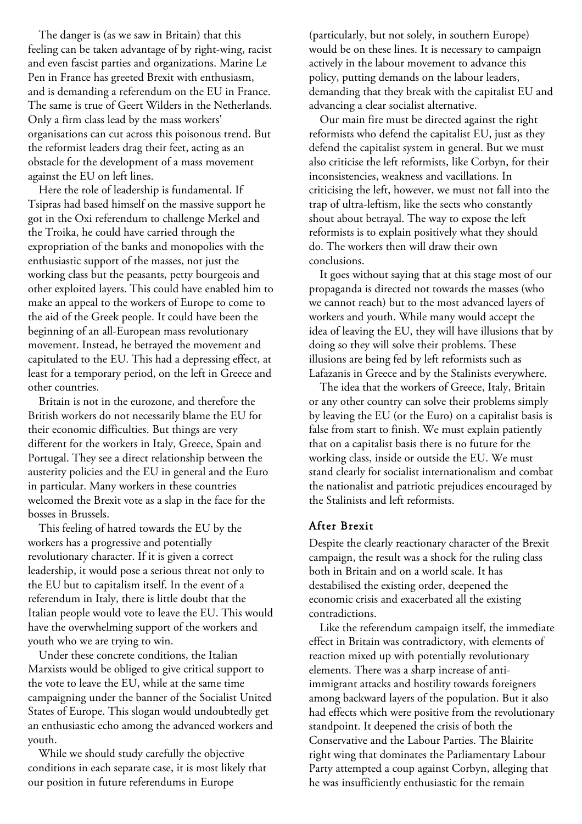The danger is (as we saw in Britain) that this feeling can be taken advantage of by right-wing, racist and even fascist parties and organizations. Marine Le Pen in France has greeted Brexit with enthusiasm, and is demanding a referendum on the EU in France. The same is true of Geert Wilders in the Netherlands. Only a firm class lead by the mass workers' organisations can cut across this poisonous trend. But the reformist leaders drag their feet, acting as an obstacle for the development of a mass movement against the EU on left lines.

Here the role of leadership is fundamental. If Tsipras had based himself on the massive support he got in the Oxi referendum to challenge Merkel and the Troika, he could have carried through the expropriation of the banks and monopolies with the enthusiastic support of the masses, not just the working class but the peasants, petty bourgeois and other exploited layers. This could have enabled him to make an appeal to the workers of Europe to come to the aid of the Greek people. It could have been the beginning of an all-European mass revolutionary movement. Instead, he betrayed the movement and capitulated to the EU. This had a depressing effect, at least for a temporary period, on the left in Greece and other countries.

Britain is not in the eurozone, and therefore the British workers do not necessarily blame the EU for their economic difficulties. But things are very different for the workers in Italy, Greece, Spain and Portugal. They see a direct relationship between the austerity policies and the EU in general and the Euro in particular. Many workers in these countries welcomed the Brexit vote as a slap in the face for the bosses in Brussels.

This feeling of hatred towards the EU by the workers has a progressive and potentially revolutionary character. If it is given a correct leadership, it would pose a serious threat not only to the EU but to capitalism itself. In the event of a referendum in Italy, there is little doubt that the Italian people would vote to leave the EU. This would have the overwhelming support of the workers and youth who we are trying to win.

Under these concrete conditions, the Italian Marxists would be obliged to give critical support to the vote to leave the EU, while at the same time campaigning under the banner of the Socialist United States of Europe. This slogan would undoubtedly get an enthusiastic echo among the advanced workers and youth.

While we should study carefully the objective conditions in each separate case, it is most likely that our position in future referendums in Europe

(particularly, but not solely, in southern Europe) would be on these lines. It is necessary to campaign actively in the labour movement to advance this policy, putting demands on the labour leaders, demanding that they break with the capitalist EU and advancing a clear socialist alternative.

Our main fire must be directed against the right reformists who defend the capitalist EU, just as they defend the capitalist system in general. But we must also criticise the left reformists, like Corbyn, for their inconsistencies, weakness and vacillations. In criticising the left, however, we must not fall into the trap of ultra-leftism, like the sects who constantly shout about betrayal. The way to expose the left reformists is to explain positively what they should do. The workers then will draw their own conclusions.

It goes without saying that at this stage most of our propaganda is directed not towards the masses (who we cannot reach) but to the most advanced layers of workers and youth. While many would accept the idea of leaving the EU, they will have illusions that by doing so they will solve their problems. These illusions are being fed by left reformists such as Lafazanis in Greece and by the Stalinists everywhere.

The idea that the workers of Greece, Italy, Britain or any other country can solve their problems simply by leaving the EU (or the Euro) on a capitalist basis is false from start to finish. We must explain patiently that on a capitalist basis there is no future for the working class, inside or outside the EU. We must stand clearly for socialist internationalism and combat the nationalist and patriotic prejudices encouraged by the Stalinists and left reformists.

## After Brexit

Despite the clearly reactionary character of the Brexit campaign, the result was a shock for the ruling class both in Britain and on a world scale. It has destabilised the existing order, deepened the economic crisis and exacerbated all the existing contradictions.

Like the referendum campaign itself, the immediate effect in Britain was contradictory, with elements of reaction mixed up with potentially revolutionary elements. There was a sharp increase of antiimmigrant attacks and hostility towards foreigners among backward layers of the population. But it also had effects which were positive from the revolutionary standpoint. It deepened the crisis of both the Conservative and the Labour Parties. The Blairite right wing that dominates the Parliamentary Labour Party attempted a coup against Corbyn, alleging that he was insufficiently enthusiastic for the remain